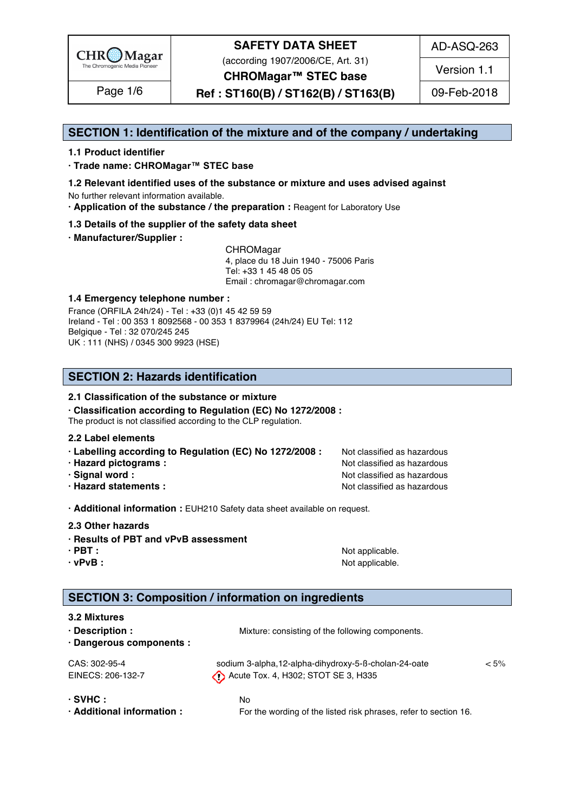

(according 1907/2006/CE, Art. 31)

AD-ASQ-263

Version 1.1

**CHROMagar™ STEC base**

**Ref : ST160(B) / ST162(B) / ST163(B)** Page 1/6 09-Feb-2018

### **SECTION 1: Identification of the mixture and of the company / undertaking** 1

#### **1.1 Product identifier** 2

**· Trade name: CHROMagar™ STEC base** 3

- **1.2 Relevant identified uses of the substance or mixture and uses advised against** 4 No further relevant information available. 5
- **· Application of the substance / the preparation :** Reagent for Laboratory Use 6

#### **1.3 Details of the supplier of the safety data sheet** 7

**· Manufacturer/Supplier :** 8

CHROMagar 9 4, place du 18 Juin 1940 - 75006 Paris 10 Tel: +33 1 45 48 05 05 11 11 12 11 12 11 12 11 12 11 12 11 12 11 12 11 12 11 12 1 Email : chromagar@chromagar.com 12

#### **1.4 Emergency telephone number :** 13

France (ORFILA 24h/24) - Tel: +33 (0)1 45 42 59 59 Ireland - Tel: 00 353 1 8092568 - 00 353 1 8379964 (24h/24) EU Tel: 112 Belgique - Tel : 32 070/245 245 16 UK : 111 (NHS) / 0345 300 9923 (HSE) 17

### **SECTION 2: Hazards identification** 20

#### **2.1 Classification of the substance or mixture**

**· Classification according to Regulation (EC) No 1272/2008 :** 22

The product is not classified according to the CLP regulation.

#### **2.2 Label elements** 24

- **· Labelling according to Regulation (EC) No 1272/2008 :** Not classified as hazardous 25
- 
- 
- 

**· Hazard pictograms :** Not classified as hazardous 26 and 26 and 26 and 26 and 26 and 26 and 26 and 26 and 26 and 26 and 26 and 26 and 26 and 26 and 26 and 26 and 26 and 26 and 26 and 26 and 26 and 26 and 26 and 26 and 26 **· Signal word :** Not classified as hazardous 27 and 27 and 27 and 27 and 27 and 27 and 27 and 27 and 27 and 27 and 27 and 27 and 27 and 27 and 27 and 27 and 27 and 27 and 27 and 27 and 27 and 27 and 27 and 27 and 27 and 2 **· Hazard statements :** Not classified as hazardous 28 and 28 and 28 and 28 and 28 and 28 and 28 and 28 and 28 and 28 and 28 and 28 and 28 and 28 and 28 and 28 and 28 and 28 and 28 and 28 and 28 and 28 and 28 and 28 and 28

**· Additional information :** EUH210 Safety data sheet available on request. 30

**2.3 Other hazards** 31

#### **· Results of PBT and vPvB assessment** 32

- 
- 

**· PBT : a** straight a straight and straight a straight of  $\mathbf{A}$  and  $\mathbf{B}$  are straight a straight and  $\mathbf{A}$  and  $\mathbf{A}$  are straight a straight and  $\mathbf{A}$  and  $\mathbf{A}$  are straight and  $\mathbf{A}$  and  $\mathbf{A}$ **· vPvB :**  $\blacksquare$  **:**  $\blacksquare$  **11**  $\blacksquare$  **11**  $\blacksquare$  **11**  $\blacksquare$  **11**  $\blacksquare$  **11**  $\blacksquare$  **11**  $\blacksquare$  **11**  $\blacksquare$  **11**  $\blacksquare$  **11**  $\blacksquare$  **11**  $\blacksquare$  **11**  $\blacksquare$  **11**  $\blacksquare$  **11**  $\blacksquare$  **11**  $\blacksquare$  **11**  $\blacksquare$  **11**  $\blacksquare$ 

### **SECTION 3: Composition / information on ingredients**

#### **3.2 Mixtures** and the state of the state of the state of the state of the state of the state of the state of the state of the state of the state of the state of the state of the state of the state of the state of the stat

| · Description :<br>· Dangerous components :                                 | Mixture: consisting of the following components.                                            |         |
|-----------------------------------------------------------------------------|---------------------------------------------------------------------------------------------|---------|
| CAS: 302-95-4<br>EINECS: 206-132-7                                          | sodium 3-alpha,12-alpha-dihydroxy-5-ß-cholan-24-oate<br>Acute Tox. 4, H302; STOT SE 3, H335 | $< 5\%$ |
| $·$ SVHC $:$                                                                | No.                                                                                         |         |
| $\mathbf{A}$ and a string to a start of the start of the start of the start |                                                                                             |         |

**· Additional information :** For the wording of the listed risk phrases, refer to section 16. 44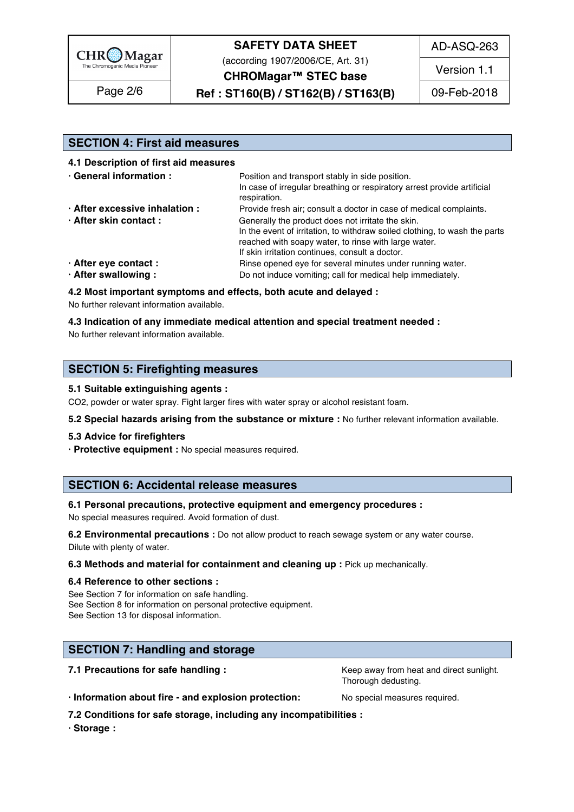

(according 1907/2006/CE, Art. 31)

AD-ASQ-263

Version 1.1

**CHROMagar™ STEC base**

**Ref : ST160(B) / ST162(B) / ST163(B)** Page 2/6 09-Feb-2018

## **SECTION 4: First aid measures** 48

**4.1 Description of first aid measures** 49

| · General information :        | Position and transport stably in side position.                            |  |  |
|--------------------------------|----------------------------------------------------------------------------|--|--|
|                                | In case of irregular breathing or respiratory arrest provide artificial    |  |  |
|                                | respiration.                                                               |  |  |
| · After excessive inhalation : | Provide fresh air; consult a doctor in case of medical complaints.         |  |  |
| · After skin contact:          | Generally the product does not irritate the skin.                          |  |  |
|                                | In the event of irritation, to withdraw soiled clothing, to wash the parts |  |  |
|                                | reached with soapy water, to rinse with large water.                       |  |  |
|                                | If skin irritation continues, consult a doctor.                            |  |  |
| · After eye contact :          | Rinse opened eye for several minutes under running water.                  |  |  |
| · After swallowing:            | Do not induce vomiting; call for medical help immediately.                 |  |  |

**4.2 Most important symptoms and effects, both acute and delayed :** 60

No further relevant information available. 61

#### **4.3 Indication of any immediate medical attention and special treatment needed :** 62

No further relevant information available.  $\blacksquare$ 

#### **SECTION 5: Firefighting measures**

#### **5.1 Suitable extinguishing agents :** 67

CO2, powder or water spray. Fight larger fires with water spray or alcohol resistant foam.

**5.2 Special hazards arising from the substance or mixture :** No further relevant information available. 69

#### **5.3 Advice for firefighters** 70

**· Protective equipment :** No special measures required. 71

#### **SECTION 6: Accidental release measures**

#### **6.1 Personal precautions, protective equipment and emergency procedures :** 75

No special measures required. Avoid formation of dust.

**6.2 Environmental precautions** : Do not allow product to reach sewage system or any water course. Dilute with plenty of water. The contract of the contract of the contract of the contract of the contract of the contract of the contract of the contract of the contract of the contract of the contract of the contract of t

#### **6.3 Methods and material for containment and cleaning up : Pick up mechanically.**

#### **6.4 Reference to other sections :** 80

See Section 7 for information on safe handling. See Section 8 for information on personal protective equipment. See Section 13 for disposal information. 833 and 333 and 333 and 333 and 333 and 333 and 333 and 333 and 333 and 333 and 333 and 333 and 333 and 333 and 333 and 333 and 333 and 333 and 333 and 333 and 333 and 333 and 333 a

### **SECTION 7: Handling and storage 86 and 200 million and 200 million and 200 million and 200 million and 200 million**

**7.1 Precautions for safe handling : Keep away from heat and direct sunlight.** 87.1 **Precautions for safe handling :** Thorough dedusting.

**· Information about fire - and explosion protection:** No special measures required. 89

**7.2 Conditions for safe storage, including any incompatibilities :** 90

**· Storage :** 91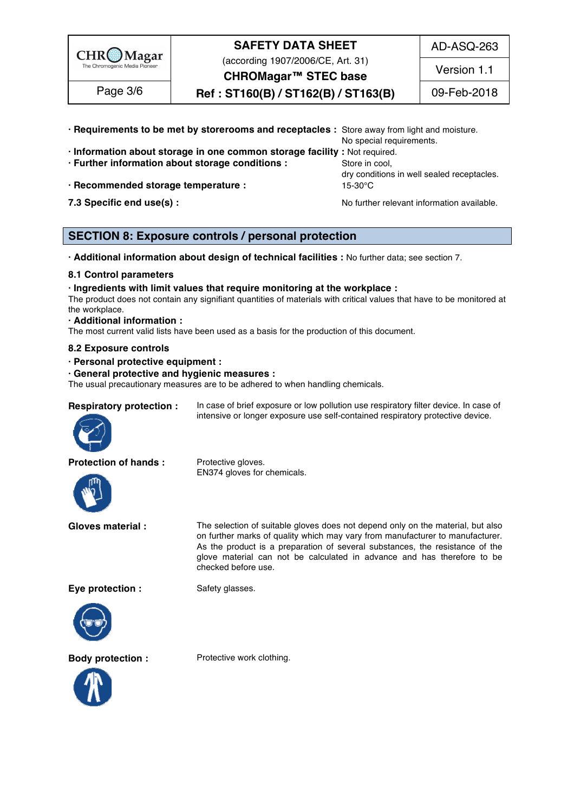

(according 1907/2006/CE, Art. 31)

AD-ASQ-263

Version 1.1

**CHROMagar™ STEC base Ref : ST160(B) / ST162(B) / ST163(B)** Page 3/6 09-Feb-2018

- **· Requirements to be met by storerooms and receptacles :** Store away from light and moisture. 92 No special requirements. **· Information about storage in one common storage facility :** Not required. 94 **· Further information about storage conditions : Store in cool, 95 Store in cool, · Recommended storage temperature :** 15-30°C 97
- 

dry conditions in well sealed receptacles.

**7.3 Specific end use(s) : No further relevant information available.** 98

### **SECTION 8: Exposure controls / personal protection**

**· Additional information about design of technical facilities :** No further data; see section 7. 102

#### **8.1 Control parameters** 103

**· Ingredients with limit values that require monitoring at the workplace :** 104

The product does not contain any signifiant quantities of materials with critical values that have to be monitored at  $\blacksquare$  the workplace.  $\blacksquare$ 

#### **· Additional information :** 107

The most current valid lists have been used as a basis for the production of this document.

#### **8.2 Exposure controls** 109

**· Personal protective equipment :** 110

#### **· General protective and hygienic measures :** 111

The usual precautionary measures are to be adhered to when handling chemicals.

#### **Respiratory protection :** In case of brief exposure or low pollution use respiratory filter device. In case of



**Protection of hands :** Protective gloves.



EN374 gloves for chemicals.

**Gloves material :** The selection of suitable gloves does not depend only on the material, but also on further marks of quality which may vary from manufacturer to manufacturer. As the product is a preparation of several substances, the resistance of the glove material can not be calculated in advance and has therefore to be checked before use.

intensive or longer exposure use self-contained respiratory protective device.

**Eye protection :** Safety glasses.





**Body protection :** Protective work clothing.

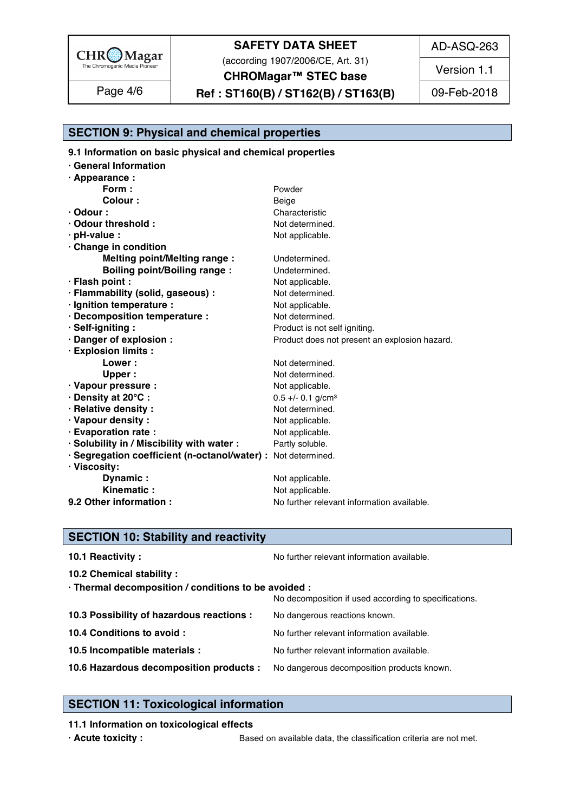

(according 1907/2006/CE, Art. 31)

AD-ASQ-263

Version 1.1

**CHROMagar™ STEC base**

# **Ref : ST160(B) / ST162(B) / ST163(B)** Page 4/6 09-Feb-2018

### **SECTION 9: Physical and chemical properties**

**9.1 Information on basic physical and chemical properties** 

| · Appearance :<br>Form:<br>Powder<br><b>Colour:</b><br>Beige<br>$\cdot$ Odour :<br>Characteristic<br>· Odour threshold :<br>Not determined.<br>$\cdot$ pH-value :<br>Not applicable.<br>Change in condition<br><b>Melting point/Melting range:</b><br>Undetermined.<br><b>Boiling point/Boiling range:</b><br>Undetermined.<br>· Flash point :<br>Not applicable.<br>· Flammability (solid, gaseous) :<br>Not determined.<br>· Ignition temperature :<br>Not applicable.<br>· Decomposition temperature :<br>Not determined.<br>· Self-igniting:<br>Product is not self igniting.<br>· Danger of explosion :<br>Product does not present an explosion hazard.<br>· Explosion limits :<br>Lower:<br>Not determined.<br>Upper:<br>Not determined.<br>Not applicable.<br>· Vapour pressure :<br>· Density at 20°C:<br>$0.5 +/- 0.1$ g/cm <sup>3</sup><br>· Relative density:<br>Not determined.<br>· Vapour density:<br>Not applicable. |  |
|--------------------------------------------------------------------------------------------------------------------------------------------------------------------------------------------------------------------------------------------------------------------------------------------------------------------------------------------------------------------------------------------------------------------------------------------------------------------------------------------------------------------------------------------------------------------------------------------------------------------------------------------------------------------------------------------------------------------------------------------------------------------------------------------------------------------------------------------------------------------------------------------------------------------------------------|--|
|                                                                                                                                                                                                                                                                                                                                                                                                                                                                                                                                                                                                                                                                                                                                                                                                                                                                                                                                      |  |
|                                                                                                                                                                                                                                                                                                                                                                                                                                                                                                                                                                                                                                                                                                                                                                                                                                                                                                                                      |  |
|                                                                                                                                                                                                                                                                                                                                                                                                                                                                                                                                                                                                                                                                                                                                                                                                                                                                                                                                      |  |
|                                                                                                                                                                                                                                                                                                                                                                                                                                                                                                                                                                                                                                                                                                                                                                                                                                                                                                                                      |  |
|                                                                                                                                                                                                                                                                                                                                                                                                                                                                                                                                                                                                                                                                                                                                                                                                                                                                                                                                      |  |
|                                                                                                                                                                                                                                                                                                                                                                                                                                                                                                                                                                                                                                                                                                                                                                                                                                                                                                                                      |  |
|                                                                                                                                                                                                                                                                                                                                                                                                                                                                                                                                                                                                                                                                                                                                                                                                                                                                                                                                      |  |
|                                                                                                                                                                                                                                                                                                                                                                                                                                                                                                                                                                                                                                                                                                                                                                                                                                                                                                                                      |  |
|                                                                                                                                                                                                                                                                                                                                                                                                                                                                                                                                                                                                                                                                                                                                                                                                                                                                                                                                      |  |
|                                                                                                                                                                                                                                                                                                                                                                                                                                                                                                                                                                                                                                                                                                                                                                                                                                                                                                                                      |  |
|                                                                                                                                                                                                                                                                                                                                                                                                                                                                                                                                                                                                                                                                                                                                                                                                                                                                                                                                      |  |
|                                                                                                                                                                                                                                                                                                                                                                                                                                                                                                                                                                                                                                                                                                                                                                                                                                                                                                                                      |  |
|                                                                                                                                                                                                                                                                                                                                                                                                                                                                                                                                                                                                                                                                                                                                                                                                                                                                                                                                      |  |
|                                                                                                                                                                                                                                                                                                                                                                                                                                                                                                                                                                                                                                                                                                                                                                                                                                                                                                                                      |  |
|                                                                                                                                                                                                                                                                                                                                                                                                                                                                                                                                                                                                                                                                                                                                                                                                                                                                                                                                      |  |
|                                                                                                                                                                                                                                                                                                                                                                                                                                                                                                                                                                                                                                                                                                                                                                                                                                                                                                                                      |  |
|                                                                                                                                                                                                                                                                                                                                                                                                                                                                                                                                                                                                                                                                                                                                                                                                                                                                                                                                      |  |
|                                                                                                                                                                                                                                                                                                                                                                                                                                                                                                                                                                                                                                                                                                                                                                                                                                                                                                                                      |  |
|                                                                                                                                                                                                                                                                                                                                                                                                                                                                                                                                                                                                                                                                                                                                                                                                                                                                                                                                      |  |
|                                                                                                                                                                                                                                                                                                                                                                                                                                                                                                                                                                                                                                                                                                                                                                                                                                                                                                                                      |  |
|                                                                                                                                                                                                                                                                                                                                                                                                                                                                                                                                                                                                                                                                                                                                                                                                                                                                                                                                      |  |
|                                                                                                                                                                                                                                                                                                                                                                                                                                                                                                                                                                                                                                                                                                                                                                                                                                                                                                                                      |  |
| · Evaporation rate :<br>Not applicable.                                                                                                                                                                                                                                                                                                                                                                                                                                                                                                                                                                                                                                                                                                                                                                                                                                                                                              |  |
| · Solubility in / Miscibility with water :<br>Partly soluble.                                                                                                                                                                                                                                                                                                                                                                                                                                                                                                                                                                                                                                                                                                                                                                                                                                                                        |  |
| · Segregation coefficient (n-octanol/water) : Not determined.                                                                                                                                                                                                                                                                                                                                                                                                                                                                                                                                                                                                                                                                                                                                                                                                                                                                        |  |
| · Viscosity:                                                                                                                                                                                                                                                                                                                                                                                                                                                                                                                                                                                                                                                                                                                                                                                                                                                                                                                         |  |
| Dynamic:<br>Not applicable.                                                                                                                                                                                                                                                                                                                                                                                                                                                                                                                                                                                                                                                                                                                                                                                                                                                                                                          |  |
| Not applicable.<br>Kinematic                                                                                                                                                                                                                                                                                                                                                                                                                                                                                                                                                                                                                                                                                                                                                                                                                                                                                                         |  |
| 9.2 Other information :<br>No further relevant information available.                                                                                                                                                                                                                                                                                                                                                                                                                                                                                                                                                                                                                                                                                                                                                                                                                                                                |  |

### **SECTION 10: Stability and reactivity**

| 10.1 Reactivity:                                                                   | No further relevant information available.            |
|------------------------------------------------------------------------------------|-------------------------------------------------------|
| 10.2 Chemical stability :                                                          |                                                       |
| · Thermal decomposition / conditions to be avoided :                               |                                                       |
|                                                                                    | No decomposition if used according to specifications. |
| 10.3 Possibility of hazardous reactions :                                          | No dangerous reactions known.                         |
| 10.4 Conditions to avoid :                                                         | No further relevant information available.            |
| 10.5 Incompatible materials :                                                      | No further relevant information available.            |
| 10.6 Hazardous decomposition products : No dangerous decomposition products known. |                                                       |
|                                                                                    |                                                       |

### **SECTION 11: Toxicological information**

#### **11.1** Information on toxicological effects

**· Acute toxicity :** Based on available data, the classification criteria are not met.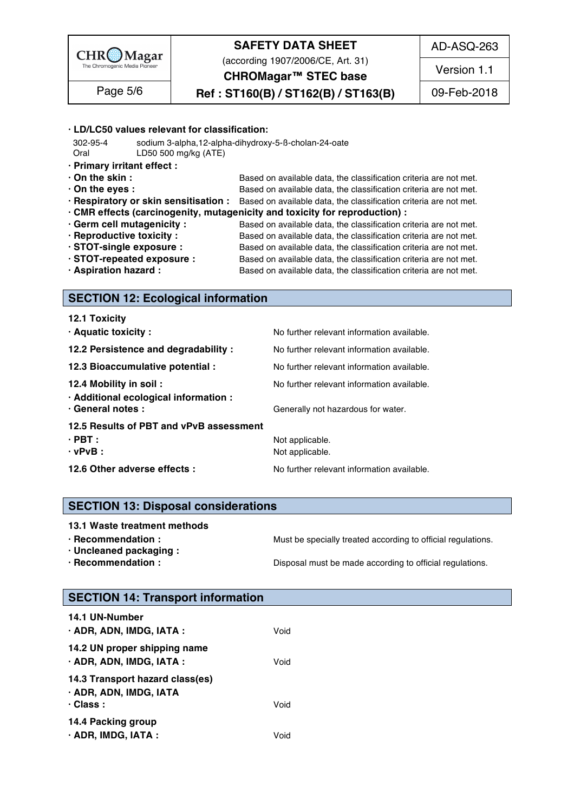

(according 1907/2006/CE, Art. 31) **CHROMagar™ STEC base**

AD-ASQ-263

Version 1.1

**Ref : ST160(B) / ST162(B) / ST163(B)** Page 5/6 09-Feb-2018

#### $\cdot$  LD/LC50 values relevant for classification:

 302-95-4 sodium 3-alpha,12-alpha-dihydroxy-5-ß-cholan-24-oate 166 Oral LD50 500 mg/kg (ATE) 167

- **· Primary irritant effect :** 168
- **On the skin : blue and in a standard Constantingle data** and **criteria** are not met.
	-
- **· On the eyes : b**ased on available data, the classification criteria are not met.<br>**· Respiratory or skin sensitisation :** Based on available data, the classification criteria are not met. **Based on available data, the classification criteria are not met.**
- **· CMR effects (carcinogenity, mutagenicity and toxicity for reproduction) :** 172
- 
- 

**· Germ cell mutagenicity :** Based on available data, the classification criteria are not met. **· Reproductive toxicity :** Based on available data, the classification criteria are not met. **· STOT-single exposure :** Based on available data, the classification criteria are not met. **· STOT-repeated exposure :** Based on available data, the classification criteria are not met. **· Aspiration hazard :** Based on available data, the classification criteria are not met.

#### **SECTION 12: Ecological information**

| 12.1 Toxicity                                              |                                            |
|------------------------------------------------------------|--------------------------------------------|
| · Aquatic toxicity:                                        | No further relevant information available. |
| 12.2 Persistence and degradability :                       | No further relevant information available. |
| 12.3 Bioaccumulative potential :                           | No further relevant information available. |
| 12.4 Mobility in soil:                                     | No further relevant information available. |
| · Additional ecological information :<br>· General notes : | Generally not hazardous for water.         |
|                                                            |                                            |
| 12.5 Results of PBT and vPvB assessment                    |                                            |
| $\cdot$ PBT :                                              | Not applicable.                            |
| $\cdot$ vPvB :                                             | Not applicable.                            |
| 12.6 Other adverse effects :                               | No further relevant information available. |

#### **SECTION 13: Disposal considerations**

- 
- 
- 

**· Recommendation : Must be specially treated according to official regulations.** 

**· Recommendation : Disposal must be made according to official regulations.** 

**· Uncleaned packaging :** 196

### **SECTION 14: Transport information**

| 14.1 UN-Number                  |      |  |  |
|---------------------------------|------|--|--|
| · ADR, ADN, IMDG, IATA :        | Void |  |  |
| 14.2 UN proper shipping name    |      |  |  |
| · ADR, ADN, IMDG, IATA :        | Void |  |  |
| 14.3 Transport hazard class(es) |      |  |  |
| · ADR, ADN, IMDG, IATA          |      |  |  |
| $\cdot$ Class :                 | Void |  |  |
| 14.4 Packing group              |      |  |  |
| $\cdot$ ADR, IMDG, IATA :       | Void |  |  |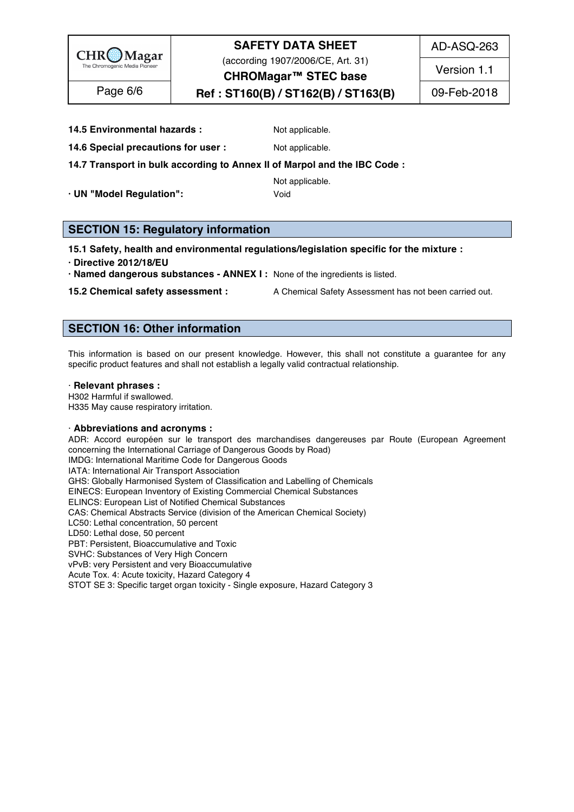

(according 1907/2006/CE, Art. 31)

AD-ASQ-263

Version 1.1

**Ref : ST160(B) / ST162(B) / ST163(B)** Page 6/6 09-Feb-2018

# **CHROMagar™ STEC base**

**14.5 Environmental hazards :** Not applicable. 210

**14.6 Special precautions for user :** Not applicable. 211

### **14.7 Transport in bulk according to Annex II of Marpol and the IBC Code :** 212

Not applicable. 2003 and 2133 and 2133 and 2133 and 2133 and 2133 and 2133 and 2133 and 2133 and 2133 and 2133

**· UN "Model Regulation":** Void 214

### **SECTION 15: Regulatory information**

#### **15.1 Safety, health and environmental regulations/legislation specific for the mixture :** 218

- **· Directive 2012/18/EU** 219
- **· Named dangerous substances - ANNEX I :** None of the ingredients is listed. 220

**15.2 Chemical safety assessment :** A Chemical Safety Assessment has not been carried out.

### **SECTION 16: Other information** 224

This information is based on our present knowledge. However, this shall not constitute a guarantee for any specific product features and shall not establish a legally valid contractual relationship.

#### · **Relevant phrases :** 229

H302 Harmful if swallowed. 230 November 230 November 2008 November 2009 November 2009 November 2009 November 20 H335 May cause respiratory irritation. 2313 May 2012 12:331 May 2013 12:34:35 May cause respiratory irritation.

#### · **Abbreviations and acronyms :** 233

ADR: Accord européen sur le transport des marchandises dangereuses par Route (European Agreement concerning the International Carriage of Dangerous Goods by Road) IMDG: International Maritime Code for Dangerous Goods IATA: International Air Transport Association 237 GHS: Globally Harmonised System of Classification and Labelling of Chemicals EINECS: European Inventory of Existing Commercial Chemical Substances ELINCS: European List of Notified Chemical Substances CAS: Chemical Abstracts Service (division of the American Chemical Society) LC50: Lethal concentration, 50 percent 242 LD50: Lethal dose, 50 percent 2433 Percent 2433 Percent 2433 Percent 2433 Percent 2433 Percent 2433 Percent 2433 Percent 2433 Percent 2433 Percent 243 Percent 243 Percent 243 Percent 243 Percent 243 Percent 243 Percent 243 PBT: Persistent, Bioaccumulative and Toxic 2444 AM and 2444 AM and 2444 AM and 2444 AM and 2444 AM and 2444 AM SVHC: Substances of Very High Concern 2455 Processes 2455 Processes 2455 Processes 2455 Processes 2455 Processes vPvB: very Persistent and very Bioaccumulative Acute Tox. 4: Acute toxicity, Hazard Category 4 STOT SE 3: Specific target organ toxicity - Single exposure, Hazard Category 3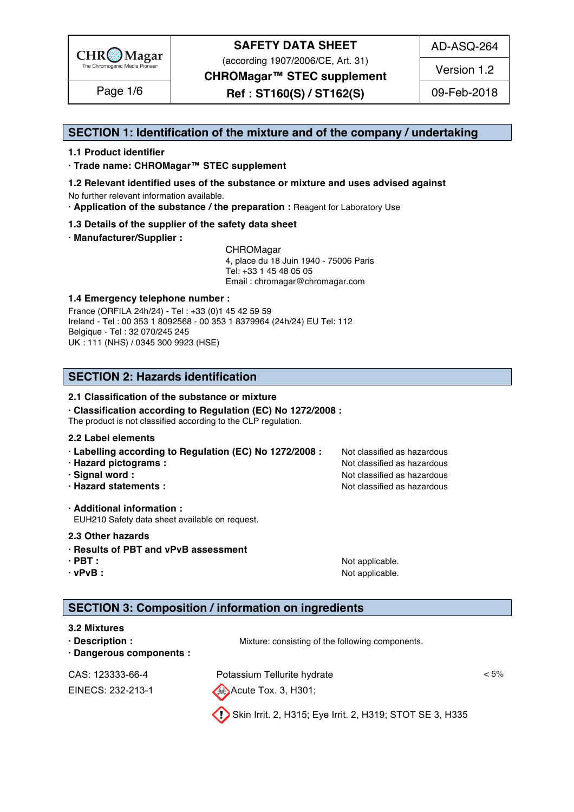

(according 1907/2006/CE, Art. 31)

AD-ASQ-264

Version 1.2

**CHROMagar™ STEC supplement** 

**Ref : ST160(S) / ST162(S)** Page 1/6 09-Feb-2018

#### **SECTION 1: Identification of the mixture and of the company / undertaking** 1

#### **1.1 Product identifier** 2

**· Trade name: CHROMagar™ STEC supplement** 3

- **1.2 Relevant identified uses of the substance or mixture and uses advised against** 4 No further relevant information available. 5
- **· Application of the substance / the preparation :** Reagent for Laboratory Use 6

#### **1.3 Details of the supplier of the safety data sheet** 7

**· Manufacturer/Supplier :** 8

CHROMagar 9 4, place du 18 Juin 1940 - 75006 Paris 10 Tel: +33 1 45 48 05 05 11 11 12 11 12 11 12 11 12 11 12 11 12 11 12 11 12 11 12 1 Email : chromagar@chromagar.com 12

#### **1.4 Emergency telephone number :** 13

France (ORFILA 24h/24) - Tel: +33 (0)1 45 42 59 59 Ireland - Tel: 00 353 1 8092568 - 00 353 1 8379964 (24h/24) EU Tel: 112 Belgique - Tel : 32 070/245 245 16 UK : 111 (NHS) / 0345 300 9923 (HSE) 17

### **SECTION 2: Hazards identification** 20

#### **2.1 Classification of the substance or mixture** 21

**· Classification according to Regulation (EC) No 1272/2008 :** 22

The product is not classified according to the CLP regulation.

#### **2.2 Label elements** 24

- **· Labelling according to Regulation (EC) No 1272/2008 :** Not classified as hazardous 25
- **· Hazard pictograms :** Not classified as hazardous 26 and 26 and 26 and 26 and 26 and 26 and 26 and 26 and 26 and 26 and 26 and 26 and 26 and 26 and 26 and 26 and 26 and 26 and 26 and 26 and 26 and 26 and 26 and 26 and 26
- **· Signal word :** Not classified as hazardous 27 and 27 and 27 and 27 and 27 and 27 and 27 and 27 and 27 and 27 and 27 and 27 and 27 and 27 and 27 and 27 and 27 and 27 and 27 and 27 and 27 and 27 and 27 and 27 and 27 and 2
- **· Hazard statements :** Not classified as hazardous 28 and 28 and 28 and 28 and 28 and 28 and 28 and 28 and 28 and 28 and 28 and 28 and 28 and 28 and 28 and 28 and 28 and 28 and 28 and 28 and 28 and 28 and 28 and 28 and 28

**· Additional information :** 30 EUH210 Safety data sheet available on request.

#### **2.3 Other hazards** 32

- **· Results of PBT and vPvB assessment** 33
- 
- 

**· PBT :** Not applicable. 34 **· vPvB :** Not applicable. 35

### **SECTION 3: Composition / information on ingredients**

#### **3.2 Mixtures** 39

| $\cdot$ Description :<br>· Dangerous components : | Mixture: consisting of the following components.         |      |
|---------------------------------------------------|----------------------------------------------------------|------|
| CAS: 123333-66-4                                  | Potassium Tellurite hydrate                              | < 5% |
| EINECS: 232-213-1                                 | $\leftrightarrow$ Acute Tox. 3, H301;                    |      |
|                                                   | Skin Irrit. 2, H315; Eye Irrit. 2, H319; STOT SE 3, H335 |      |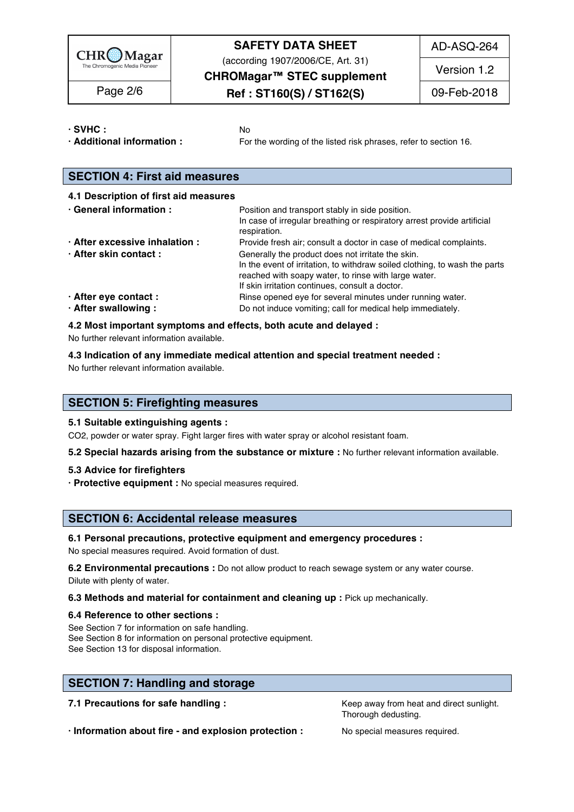

(according 1907/2006/CE, Art. 31)

AD-ASQ-264

**CHROMagar™ STEC supplement** 

# Page 2/6  $\qquad$  **Ref : ST160(S) / ST162(S)** 09-Feb-2018

Version 1.2

**· SVHC :** No 43

**· Additional information :** For the wording of the listed risk phrases, refer to section 16. 44

### **SECTION 4: First aid measures** 47

| 4.1 Description of first aid measures                   |                                                                                                                                                                                                                                                                                                                  |
|---------------------------------------------------------|------------------------------------------------------------------------------------------------------------------------------------------------------------------------------------------------------------------------------------------------------------------------------------------------------------------|
| · General information :                                 | Position and transport stably in side position.<br>In case of irregular breathing or respiratory arrest provide artificial<br>respiration.                                                                                                                                                                       |
| · After excessive inhalation :<br>· After skin contact: | Provide fresh air; consult a doctor in case of medical complaints.<br>Generally the product does not irritate the skin.<br>In the event of irritation, to withdraw soiled clothing, to wash the parts<br>reached with soapy water, to rinse with large water.<br>If skin irritation continues, consult a doctor. |
| · After eye contact :                                   | Rinse opened eye for several minutes under running water.                                                                                                                                                                                                                                                        |
| · After swallowing:                                     | Do not induce vomiting; call for medical help immediately.                                                                                                                                                                                                                                                       |

#### **4.2 Most important symptoms and effects, both acute and delayed :** 59

No further relevant information available.  $\blacksquare$ 

**4.3 Indication of any immediate medical attention and special treatment needed :** 61

No further relevant information available. 62

#### **SECTION 5: Firefighting measures**

#### **5.1 Suitable extinguishing agents :** 66

CO2, powder or water spray. Fight larger fires with water spray or alcohol resistant foam.

**5.2 Special hazards arising from the substance or mixture :** No further relevant information available. 68

#### **5.3 Advice for firefighters** 69

**· Protective equipment :** No special measures required. 70

#### **SECTION 6: Accidental release measures**

#### **6.1 Personal precautions, protective equipment and emergency procedures :** 74

No special measures required. Avoid formation of dust.

**6.2 Environmental precautions** : Do not allow product to reach sewage system or any water course. Dilute with plenty of water. The contract of the contract of the contract of the contract of the contract of the contract of the contract of the contract of the contract of the contract of the contract of the contract of t

**6.3 Methods and material for containment and cleaning up : Pick up mechanically.** 

#### **6.4 Reference to other sections :** 79

See Section 7 for information on safe handling. See Section 2008 and 2009 and 2009 and 2009 and 2009 and 2009 and 2009 and 2009 and 2009 and 2009 and 2009 and 2009 and 2009 and 2009 and 2009 and 2009 and 2009 and 2009 and See Section 8 for information on personal protective equipment.<br>See Section 13 for disposal information. See Section 13 for disposal information. 822 and 22 and 22 and 22 and 22 and 22 and 22 and 22 and 22 and 22 and 22 and 22 and 22 and 22 and 22 and 22 and 22 and 22 and 22 and 22 and 22 and 22 and 22 and 22 and 22 and 22 an

### **SECTION 7: Handling and storage**

**7.1 Precautions for safe handling : Keep away from heat and direct sunlight.** 87.1 **Precautions for safe handling :** 

Thorough dedusting.

**· Information about fire - and explosion protection :** No special measures required. 88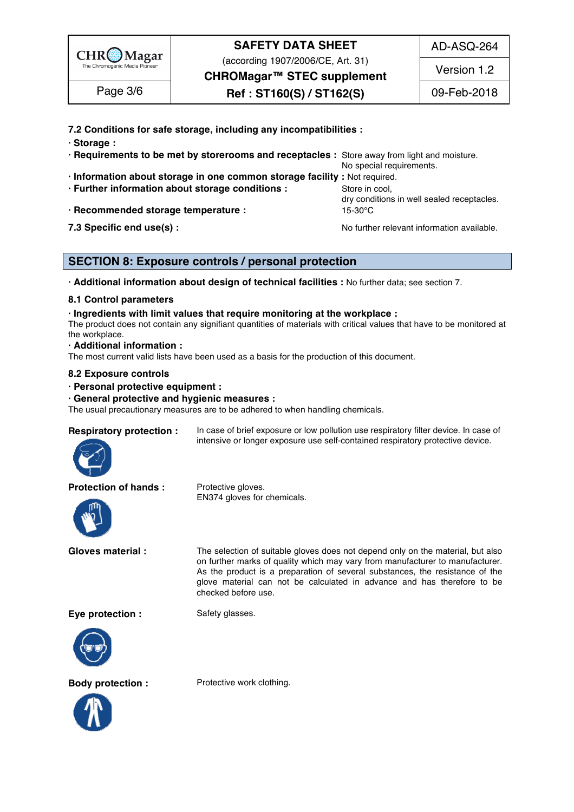

(according 1907/2006/CE, Art. 31)

**CHROMagar™ STEC supplement** 

AD-ASQ-264

Version 1.2

Page 3/6  $\qquad$  **Ref** : ST160(S) / ST162(S)  $\qquad$  09-Feb-2018

**7.2 Conditions for safe storage, including any incompatibilities :** 89

| · Storage                                                                                    |                                            |
|----------------------------------------------------------------------------------------------|--------------------------------------------|
| . Requirements to be met by storerooms and receptacles : Store away from light and moisture. |                                            |
|                                                                                              | No special requirements.                   |
| · Information about storage in one common storage facility : Not required.                   |                                            |
| · Further information about storage conditions :                                             | Store in cool,                             |
|                                                                                              | dry conditions in well sealed receptacles. |
| · Recommended storage temperature :                                                          | 15-30°C                                    |
| 7.3 Specific end use(s) :                                                                    | No further relevant information available. |

### **SECTION 8: Exposure controls / personal protection**

**· Additional information about design of technical facilities :** No further data; see section 7. 101

#### **8.1 Control parameters** 102

#### **· Ingredients with limit values that require monitoring at the workplace :** 103

The product does not contain any signifiant quantities of materials with critical values that have to be monitored at  $\epsilon$  the workplace. The mass of  $\epsilon$  is the mass of  $\epsilon$  is the mass of  $\epsilon$  is the workplace.

#### **· Additional information :** 106

The most current valid lists have been used as a basis for the production of this document.

EN374 gloves for chemicals.

#### **8.2 Exposure controls** 108

#### **· Personal protective equipment :** 109

#### **· General protective and hygienic measures :** 110

The usual precautionary measures are to be adhered to when handling chemicals.



**Respiratory protection :** In case of brief exposure or low pollution use respiratory filter device. In case of intensive or longer exposure use self-contained respiratory protective device.

#### **Protection of hands :** Protective gloves.



**Gloves material :** The selection of suitable gloves does not depend only on the material, but also on further marks of quality which may vary from manufacturer to manufacturer. As the product is a preparation of several substances, the resistance of the glove material can not be calculated in advance and has therefore to be checked before use.

**Eye protection :** Safety glasses.







**Body protection :** Protective work clothing.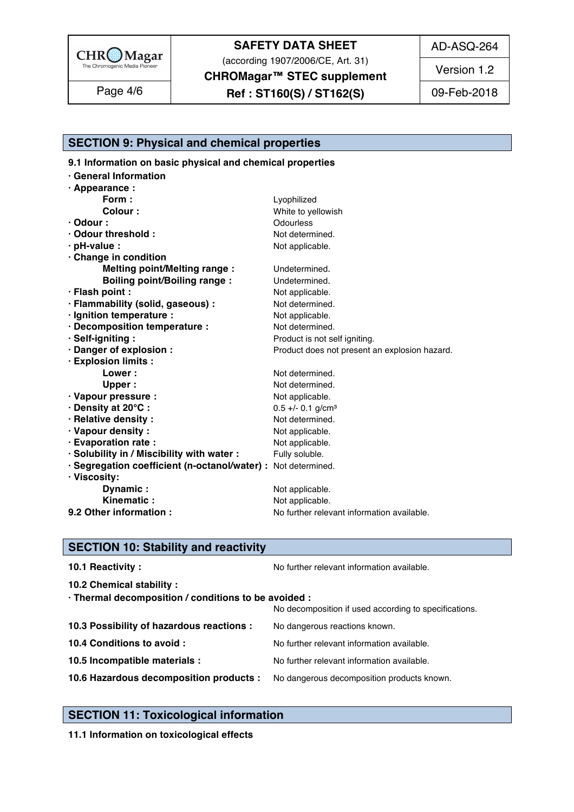

(according 1907/2006/CE, Art. 31)

**CHROMagar™ STEC supplement** 

**Ref : ST160(S) / ST162(S)** Page 4/6 09-Feb-2018

AD-ASQ-264

Version 1.2

### **SECTION 9: Physical and chemical properties**

**9.1 Information on basic physical and chemical properties** 

| · General Information                                         |                                               |  |
|---------------------------------------------------------------|-----------------------------------------------|--|
| · Appearance :                                                |                                               |  |
| Form:                                                         | Lyophilized                                   |  |
| <b>Colour:</b>                                                | White to yellowish                            |  |
| $\cdot$ Odour :                                               | Odourless                                     |  |
| · Odour threshold :                                           | Not determined.                               |  |
| $\cdot$ pH-value :                                            | Not applicable.                               |  |
| Change in condition                                           |                                               |  |
| <b>Melting point/Melting range:</b>                           | Undetermined.                                 |  |
| <b>Boiling point/Boiling range:</b>                           | Undetermined.                                 |  |
| · Flash point :                                               | Not applicable.                               |  |
| · Flammability (solid, gaseous) :                             | Not determined.                               |  |
| · Ignition temperature :                                      | Not applicable.                               |  |
| · Decomposition temperature :                                 | Not determined.                               |  |
| · Self-igniting:                                              | Product is not self igniting.                 |  |
| · Danger of explosion :                                       | Product does not present an explosion hazard. |  |
| · Explosion limits :                                          |                                               |  |
| <b>Lower:</b>                                                 | Not determined.                               |  |
| Upper:                                                        | Not determined.                               |  |
| · Vapour pressure :                                           | Not applicable.                               |  |
| · Density at 20°C:                                            | $0.5 +/- 0.1$ g/cm <sup>3</sup>               |  |
| · Relative density:                                           | Not determined.                               |  |
| · Vapour density:                                             | Not applicable.                               |  |
| · Evaporation rate :                                          | Not applicable.                               |  |
| · Solubility in / Miscibility with water :                    | Fully soluble.                                |  |
| · Segregation coefficient (n-octanol/water) : Not determined. |                                               |  |
| · Viscosity:                                                  |                                               |  |
| Dynamic:                                                      | Not applicable.                               |  |
| Kinematic:                                                    | Not applicable.                               |  |
| 9.2 Other information :                                       | No further relevant information available.    |  |

### **SECTION 10: Stability and reactivity**

| 10.1 Reactivity:                                                                   | No further relevant information available.            |
|------------------------------------------------------------------------------------|-------------------------------------------------------|
| 10.2 Chemical stability :                                                          |                                                       |
| · Thermal decomposition / conditions to be avoided :                               | No decomposition if used according to specifications. |
| 10.3 Possibility of hazardous reactions :                                          | No dangerous reactions known.                         |
| 10.4 Conditions to avoid :                                                         | No further relevant information available.            |
| 10.5 Incompatible materials :                                                      | No further relevant information available.            |
| 10.6 Hazardous decomposition products : No dangerous decomposition products known. |                                                       |
|                                                                                    |                                                       |

### **SECTION 11: Toxicological information**

**11.1 Information on toxicological effects**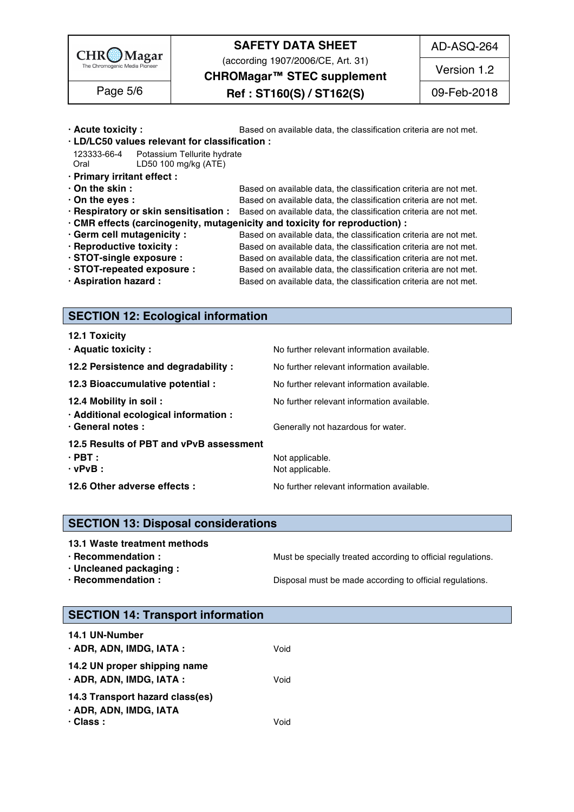

(according 1907/2006/CE, Art. 31)

AD-ASQ-264

**CHROMagar™ STEC supplement** 

**Ref : ST160(S) / ST162(S)** Page 5/6 09-Feb-2018 Version 1.2

### **· Acute toxicity :** Based on available data, the classification criteria are not met. **· LD/LC50 values relevant for classification :** 163 123333-66-4 Potassium Tellurite hydrate 1644 Potassium Service 1644 Potassium Service 1644 Potassium Tellurite Oral LD50 100 mg/kg (ATE) 165 **· Primary irritant effect :** 166 **• On the skin : blue is a strain in the classification** criteria are not met. **· On the eyes : b**ased on available data, the classification criteria are not met.<br>**· Respiratory or skin sensitisation :** Based on available data, the classification criteria are not met. **Based on available data, the classification criteria are not met. · CMR effects (carcinogenity, mutagenicity and toxicity for reproduction) :** 170 **· Germ cell mutagenicity :** Based on available data, the classification criteria are not met. **· Reproductive toxicity :** Based on available data, the classification criteria are not met. **· STOT-single exposure :** Based on available data, the classification criteria are not met. **· STOT-repeated exposure :** Based on available data, the classification criteria are not met. **· Aspiration hazard :** Based on available data, the classification criteria are not met.

### **SECTION 12: Ecological information**

| 12.1 Toxicity                           |                                            |
|-----------------------------------------|--------------------------------------------|
| · Aquatic toxicity :                    | No further relevant information available. |
| 12.2 Persistence and degradability :    | No further relevant information available. |
| 12.3 Bioaccumulative potential :        | No further relevant information available. |
| 12.4 Mobility in soil:                  | No further relevant information available. |
| · Additional ecological information :   |                                            |
| · General notes :                       | Generally not hazardous for water.         |
| 12.5 Results of PBT and vPvB assessment |                                            |
| $\cdot$ PBT :                           | Not applicable.                            |
| $\cdot$ vPvB :                          | Not applicable.                            |
| 12.6 Other adverse effects :            | No further relevant information available. |

#### **SECTION 13: Disposal considerations**

#### **13.1 Waste treatment methods in a set of the set of the set of the set of the set of the set of the set of the set of the set of the set of the set of the set of the set of the set of the set of the set of the set of the**

**· Recommendation : Must be specially treated according to official regulations.** 

**· Uncleaned packaging :** 195

**· Recommendation : Disposal must be made according to official regulations.** 

#### **SECTION 14: Transport information**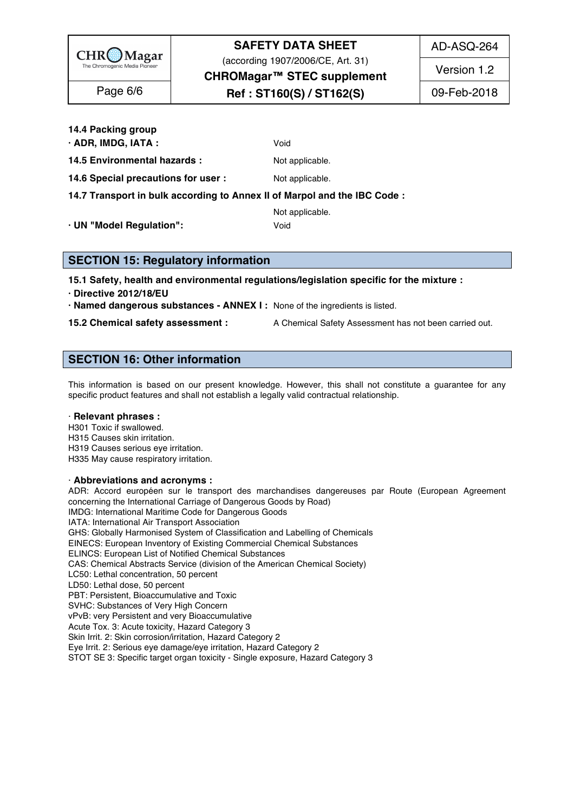

(according 1907/2006/CE, Art. 31)

AD-ASQ-264

Version 1.2

**CHROMagar™ STEC supplement** 

## **Ref : ST160(S) / ST162(S)** Page 6/6 09-Feb-2018

**14.4 Packing group** 207

**· ADR, IMDG, IATA :**  $Void$ 

**14.5 Environmental hazards :** Not applicable. 209

**14.6 Special precautions for user :** Not applicable. 2110 **Special precautions of the structure of the structure of the Special August** 

**14.7 Transport in bulk according to Annex II of Marpol and the IBC Code :** 211

Not applicable. 2022 and 2122 and 2122 and 2122 and 2122 and 2122 and 2122 and 2122 and 2122 and 2122 and 2122

**· UN "Model Regulation":** Void 213

**SECTION 15: Regulatory information** 

**15.1 Safety, health and environmental regulations/legislation specific for the mixture :** 217

**· Directive 2012/18/EU** 218

**· Named dangerous substances - ANNEX I :** None of the ingredients is listed. 219

**15.2 Chemical safety assessment :** A Chemical Safety Assessment has not been carried out.

### **SECTION 16: Other information** 223

This information is based on our present knowledge. However, this shall not constitute a guarantee for any specific product features and shall not establish a legally valid contractual relationship.

#### · **Relevant phrases :** 228

H301 Toxic if swallowed. 229 H315 Causes skin irritation. 230 Australian and the control of the control of the control of the control of the control of the control of the control of the control of the control of the control of the control of the contr H319 Causes serious eye irritation. 231 H335 May cause respiratory irritation. 2323 May 2022 2023 2023 2023 2023 2023 2024 2022 2023 2024 2022 2023 20

#### · **Abbreviations and acronyms :** 234

ADR: Accord européen sur le transport des marchandises dangereuses par Route (European Agreement concerning the International Carriage of Dangerous Goods by Road) IMDG: International Maritime Code for Dangerous Goods<br>IATA: International Air Transport Association IATA: International Air Transport Association 238 GHS: Globally Harmonised System of Classification and Labelling of Chemicals EINECS: European Inventory of Existing Commercial Chemical Substances ELINCS: European List of Notified Chemical Substances CAS: Chemical Abstracts Service (division of the American Chemical Society) LC50: Lethal concentration, 50 percent LC50: Lethal concentration, 50 percent 2433 and 2433 and 2433 and 2433 and 2433 and 2433 and 2433 and 2433 and 2433 and 2433 and 2433 and 2433 and 2433 and 2433 and 2433 and 2433 and 2433 and 2433 and 2433 and 2433 and 243 LD50: Lethal dose, 50 percent 2444 and 2444 and 2444 and 2444 and 2444 and 2444 and 2444 and 2444 and 2444 and 2444 and 2444 and 2444 and 2444 and 2444 and 2444 and 2444 and 2444 and 2444 and 2444 and 2444 and 2444 and 244 PBT: Persistent, Bioaccumulative and Toxic 2455 Australian and Toxic 2455 Australian and Toxic 2455 Australian SVHC: Substances of Very High Concern 2466 Production 2466 Production 2466 Production 2466 Production 2466 Pro vPvB: very Persistent and very Bioaccumulative Acute Tox. 3: Acute toxicity, Hazard Category 3 Skin Irrit. 2: Skin corrosion/irritation, Hazard Category 2 Eye Irrit. 2: Serious eye damage/eye irritation, Hazard Category 2 STOT SE 3: Specific target organ toxicity - Single exposure, Hazard Category 3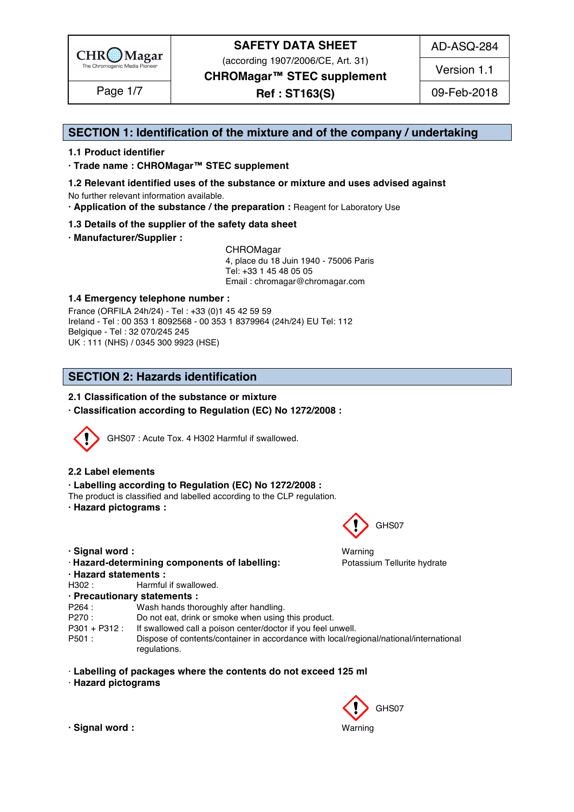

(according 1907/2006/CE, Art. 31)

AD-ASQ-284

Version 1.1

**CHROMagar™ STEC supplement**

**Ref : ST163(S)** Page 1/7 09-Feb-2018

### **SECTION 1: Identification of the mixture and of the company / undertaking** 1

#### **1.1 Product identifier** 2

**· Trade name : CHROMagar™ STEC supplement** 3

- **1.2 Relevant identified uses of the substance or mixture and uses advised against** 4 No further relevant information available. 5
- **· Application of the substance / the preparation :** Reagent for Laboratory Use 6

#### **1.3 Details of the supplier of the safety data sheet** 7

**· Manufacturer/Supplier :** 8

CHROMagar 9 4, place du 18 Juin 1940 - 75006 Paris 10 Tel: +33 1 45 48 05 05 11 11 12 11 12 11 12 11 12 11 12 11 12 11 12 11 12 11 12 1 Email : chromagar@chromagar.com 12

#### **1.4 Emergency telephone number :** 13

France (ORFILA 24h/24) - Tel: +33 (0)1 45 42 59 59 Ireland - Tel: 00 353 1 8092568 - 00 353 1 8379964 (24h/24) EU Tel: 112 Belgique - Tel : 32 070/245 245 16 UK : 111 (NHS) / 0345 300 9923 (HSE) 17

### **SECTION 2: Hazards identification**

#### **2.1 Classification of the substance or mixture**

**· Classification according to Regulation (EC) No 1272/2008 :** 22



GHS07 : Acute Tox. 4 H302 Harmful if swallowed.

#### **2.2 Label elements** 26

#### **· Labelling according to Regulation (EC) No 1272/2008 :** 27

The product is classified and labelled according to the CLP regulation.

**· Hazard pictograms :** 29



- · **Hazard-determining components of labelling:** Potassium Tellurite hydrate 34
- **· Hazard statements :** 35
- H302 : Harmful if swallowed. 36 and 36 and 36 and 36 and 36 and 36 and 36 and 36 and 36 and 36 and 36 and 36 and 36 and 36 and 36 and 36 and 36 and 36 and 36 and 36 and 36 and 36 and 36 and 36 and 36 and 36 and 36 and 36 a
- **· Precautionary statements :** 37

```
P264 : Wash hands thoroughly after handling. 388 and 388 and 388 and 388 and 388 and 388 and 388 and 388 and 38
```
P270 : Do not eat, drink or smoke when using this product.

P301 + P312 : If swallowed call a poison center/doctor if you feel unwell.<br>P501 : Dispose of contents/container in accordance with local/red

- Dispose of contents/container in accordance with local/regional/national/international regulations. And the contract of the contract of the contract of the contract of the contract of the contract of the contract of the contract of the contract of the contract of the contract of the contract of the contract
- · **Labelling of packages where the contents do not exceed 125 ml** 44
- · **Hazard pictograms** 45



GHS07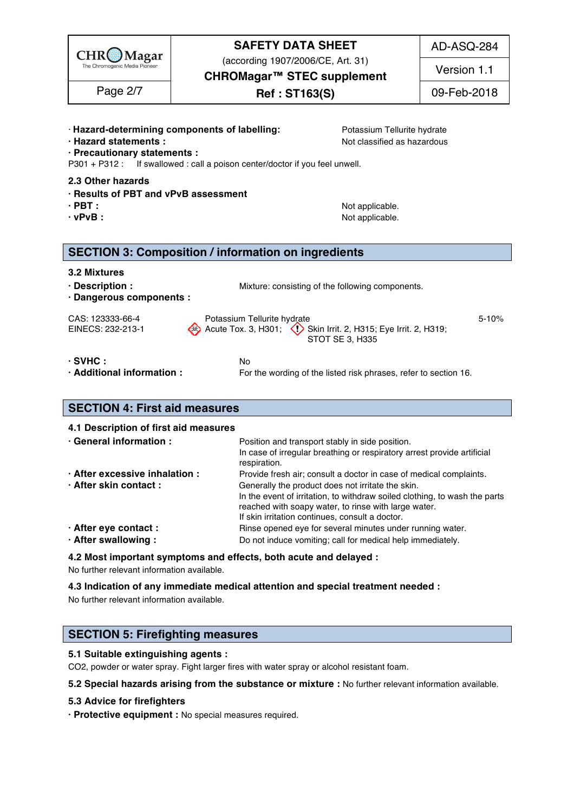| $CHR$ Magar                                                                                  | <b>SAFETY DATA SHEET</b><br>(according 1907/2006/CE, Art. 31)<br>CHROMagar™ STEC supplement                                                                                                 | AD-ASQ-284<br>Version 1.1 |
|----------------------------------------------------------------------------------------------|---------------------------------------------------------------------------------------------------------------------------------------------------------------------------------------------|---------------------------|
| Page 2/7                                                                                     | <b>Ref : ST163(S)</b>                                                                                                                                                                       | 09-Feb-2018               |
| · Hazard statements :<br>· Precautionary statements :                                        | · Hazard-determining components of labelling:<br>Potassium Tellurite hydrate<br>Not classified as hazardous<br>P301 + P312 : If swallowed : call a poison center/doctor if you feel unwell. |                           |
| 2.3 Other hazards<br>· Results of PBT and vPvB assessment<br>$\cdot$ PBT :<br>$\cdot$ vPvB : | Not applicable.<br>Not applicable.                                                                                                                                                          |                           |
|                                                                                              | <b>SECTION 3: Composition / information on ingredients</b>                                                                                                                                  |                           |
| 3.2 Mixtures<br>· Description :<br>· Dangerous components :                                  | Mixture: consisting of the following components.                                                                                                                                            |                           |
| CAS: 123333-66-4<br>EINECS: 232-213-1                                                        | Potassium Tellurite hydrate<br>Acute Tox. 3, H301;<br>Skin Irrit. 2, H315; Eye Irrit. 2, H319;<br>STOT SE 3, H335                                                                           | $5 - 10%$                 |
| $\cdot$ SVHC :<br>Additional information:                                                    | No<br>For the wording of the listed risk phrases, refer to section 16.                                                                                                                      |                           |
| <b>SECTION 4: First aid measures</b>                                                         |                                                                                                                                                                                             |                           |

#### **4.1 Description of first aid measures** 74 **• General information :** *Position and transport stably in side position.* **75 and the position of the position of the position of the position of the position of the position of the position of the position of the positi** In case of irregular breathing or respiratory arrest provide artificial respiration. The contract of the contract of the contract of the contract of the contract of the contract of the contract of the contract of the contract of the contract of the contract of the contract of the contract of t **· After excessive inhalation :** Provide fresh air; consult a doctor in case of medical complaints. **· After skin contact :** Generally the product does not irritate the skin. In the event of irritation, to withdraw soiled clothing, to wash the parts reached with soapy water, to rinse with large water. If skin irritation continues, consult a doctor. **After eye contact : Rinse opened eye for several minutes under running water. · After swallowing :** Do not induce vomiting; call for medical help immediately.

**4.2 Most important symptoms and effects, both acute and delayed :** 85

No further relevant information available. 86

#### **4.3 Indication of any immediate medical attention and special treatment needed :** 87

No further relevant information available. 88

### **SECTION 5: Firefighting measures**

#### **5.1 Suitable extinguishing agents :** 92

CO2, powder or water spray. Fight larger fires with water spray or alcohol resistant foam.

**5.2 Special hazards arising from the substance or mixture :** No further relevant information available. 94

#### **5.3 Advice for firefighters** 95

**· Protective equipment :** No special measures required. 96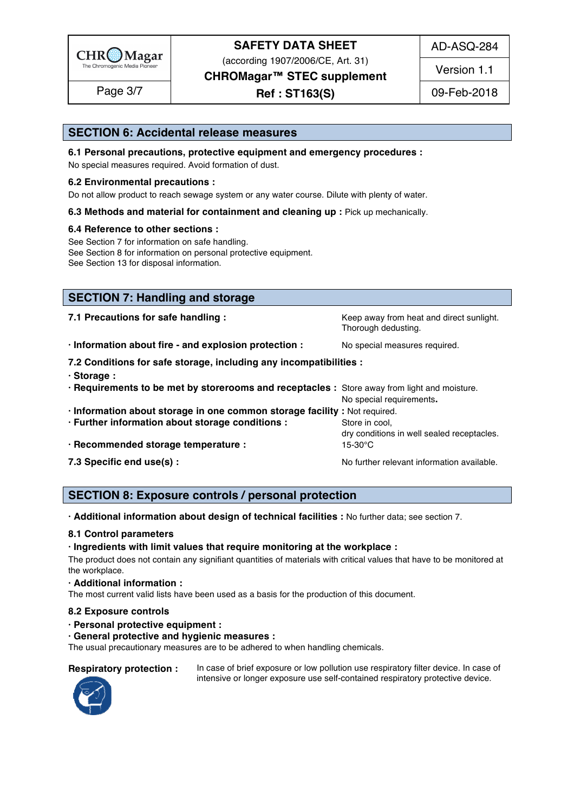

(according 1907/2006/CE, Art. 31)

**CHROMagar™ STEC supplement**

**Ref : ST163(S)** Page 3/7 09-Feb-2018

Version 1.1

# **SECTION 6: Accidental release measures**

**6.1 Personal precautions, protective equipment and emergency procedures :** 

No special measures required. Avoid formation of dust.

#### **6.2 Environmental precautions :** 102

Do not allow product to reach sewage system or any water course. Dilute with plenty of water.

#### **6.3 Methods and material for containment and cleaning up : Pick up mechanically.**

#### **6.4 Reference to other sections :** 105

See Section 7 for information on safe handling. See Section 8 for information on personal protective equipment. See Section 13 for disposal information. 108 and 208 and 208 and 208 and 208 and 208 and 208 and 208 and 208 and 208 and 208 and 208 and 208 and 208 and 208 and 208 and 208 and 208 and 208 and 208 and 208 and 208 and 208 a

| <b>SECTION 7: Handling and storage</b>                                                       |                                                                 |
|----------------------------------------------------------------------------------------------|-----------------------------------------------------------------|
| 7.1 Precautions for safe handling :                                                          | Keep away from heat and direct sunlight.<br>Thorough dedusting. |
| · Information about fire - and explosion protection :                                        | No special measures required.                                   |
| 7.2 Conditions for safe storage, including any incompatibilities :<br>· Storage:             |                                                                 |
| · Requirements to be met by storerooms and receptacles : Store away from light and moisture. | No special requirements.                                        |
| · Information about storage in one common storage facility : Not required.                   |                                                                 |
| · Further information about storage conditions :                                             | Store in cool,<br>dry conditions in well sealed receptacles.    |
| · Recommended storage temperature :                                                          | $15-30$ °C                                                      |
| 7.3 Specific end use(s) :                                                                    | No further relevant information available.                      |

### **SECTION 8: Exposure controls / personal protection**

**· Additional information about design of technical facilities :** No further data; see section 7. 127

#### **8.1 Control parameters** 128

#### **· Ingredients with limit values that require monitoring at the workplace :** 129

The product does not contain any signifiant quantities of materials with critical values that have to be monitored at the workplace. The contract of the contract of the contract of the contract of the contract of the contract of the contract of the contract of the contract of the contract of the contract of the contract of the contract of

#### **· Additional information :** 132

The most current valid lists have been used as a basis for the production of this document.

#### **8.2 Exposure controls** 134

**· Personal protective equipment :** 135

#### **· General protective and hygienic measures :** 136

The usual precautionary measures are to be adhered to when handling chemicals.

**Respiratory protection :** In case of brief exposure or low pollution use respiratory filter device. In case of intensive or longer exposure use self-contained respiratory protective device.



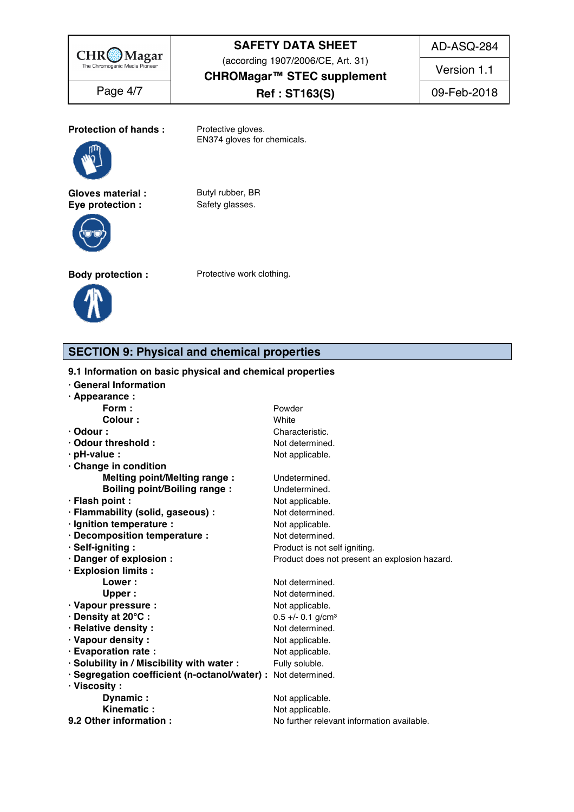

(according 1907/2006/CE, Art. 31)

AD-ASQ-284

Version 1.1

**CHROMagar™ STEC supplement**

**Ref : ST163(S)** Page 4/7 09-Feb-2018

**Protection of hands :** Protective gloves.



**Gloves material :** Butyl rubber, BR<br> **Eye protection :** Safety glasses. **Eye protection :** 



EN374 gloves for chemicals.





### **SECTION 9: Physical and chemical properties**

#### 9.1 Information on basic physical and chemical properties

| · Appearance :<br>Form:<br>Powder<br>Colour:<br>White<br>$\cdot$ Odour :<br>Characteristic.<br>· Odour threshold:<br>Not determined.<br>$\cdot$ pH-value :<br>Not applicable.<br>Change in condition<br><b>Melting point/Melting range:</b><br>Undetermined.<br><b>Boiling point/Boiling range:</b><br>Undetermined.<br>· Flash point :<br>Not applicable.<br>· Flammability (solid, gaseous) :<br>Not determined.<br>· Ignition temperature :<br>Not applicable.<br>· Decomposition temperature :<br>Not determined.<br>· Self-igniting:<br>Product is not self igniting.<br>· Danger of explosion :<br>Product does not present an explosion hazard.<br>· Explosion limits :<br>Not determined.<br><b>Lower:</b><br>Not determined.<br>Upper:<br>· Vapour pressure :<br>Not applicable.<br>· Density at 20°C:<br>$0.5 +/- 0.1$ g/cm <sup>3</sup><br>· Relative density:<br>Not determined.<br>· Vapour density:<br>Not applicable.<br>· Evaporation rate :<br>Not applicable. | · General Information                      |                |  |
|---------------------------------------------------------------------------------------------------------------------------------------------------------------------------------------------------------------------------------------------------------------------------------------------------------------------------------------------------------------------------------------------------------------------------------------------------------------------------------------------------------------------------------------------------------------------------------------------------------------------------------------------------------------------------------------------------------------------------------------------------------------------------------------------------------------------------------------------------------------------------------------------------------------------------------------------------------------------------------|--------------------------------------------|----------------|--|
|                                                                                                                                                                                                                                                                                                                                                                                                                                                                                                                                                                                                                                                                                                                                                                                                                                                                                                                                                                                 |                                            |                |  |
|                                                                                                                                                                                                                                                                                                                                                                                                                                                                                                                                                                                                                                                                                                                                                                                                                                                                                                                                                                                 |                                            |                |  |
|                                                                                                                                                                                                                                                                                                                                                                                                                                                                                                                                                                                                                                                                                                                                                                                                                                                                                                                                                                                 |                                            |                |  |
|                                                                                                                                                                                                                                                                                                                                                                                                                                                                                                                                                                                                                                                                                                                                                                                                                                                                                                                                                                                 |                                            |                |  |
|                                                                                                                                                                                                                                                                                                                                                                                                                                                                                                                                                                                                                                                                                                                                                                                                                                                                                                                                                                                 |                                            |                |  |
|                                                                                                                                                                                                                                                                                                                                                                                                                                                                                                                                                                                                                                                                                                                                                                                                                                                                                                                                                                                 |                                            |                |  |
|                                                                                                                                                                                                                                                                                                                                                                                                                                                                                                                                                                                                                                                                                                                                                                                                                                                                                                                                                                                 |                                            |                |  |
|                                                                                                                                                                                                                                                                                                                                                                                                                                                                                                                                                                                                                                                                                                                                                                                                                                                                                                                                                                                 |                                            |                |  |
|                                                                                                                                                                                                                                                                                                                                                                                                                                                                                                                                                                                                                                                                                                                                                                                                                                                                                                                                                                                 |                                            |                |  |
|                                                                                                                                                                                                                                                                                                                                                                                                                                                                                                                                                                                                                                                                                                                                                                                                                                                                                                                                                                                 |                                            |                |  |
|                                                                                                                                                                                                                                                                                                                                                                                                                                                                                                                                                                                                                                                                                                                                                                                                                                                                                                                                                                                 |                                            |                |  |
|                                                                                                                                                                                                                                                                                                                                                                                                                                                                                                                                                                                                                                                                                                                                                                                                                                                                                                                                                                                 |                                            |                |  |
|                                                                                                                                                                                                                                                                                                                                                                                                                                                                                                                                                                                                                                                                                                                                                                                                                                                                                                                                                                                 |                                            |                |  |
|                                                                                                                                                                                                                                                                                                                                                                                                                                                                                                                                                                                                                                                                                                                                                                                                                                                                                                                                                                                 |                                            |                |  |
|                                                                                                                                                                                                                                                                                                                                                                                                                                                                                                                                                                                                                                                                                                                                                                                                                                                                                                                                                                                 |                                            |                |  |
|                                                                                                                                                                                                                                                                                                                                                                                                                                                                                                                                                                                                                                                                                                                                                                                                                                                                                                                                                                                 |                                            |                |  |
|                                                                                                                                                                                                                                                                                                                                                                                                                                                                                                                                                                                                                                                                                                                                                                                                                                                                                                                                                                                 |                                            |                |  |
|                                                                                                                                                                                                                                                                                                                                                                                                                                                                                                                                                                                                                                                                                                                                                                                                                                                                                                                                                                                 |                                            |                |  |
|                                                                                                                                                                                                                                                                                                                                                                                                                                                                                                                                                                                                                                                                                                                                                                                                                                                                                                                                                                                 |                                            |                |  |
|                                                                                                                                                                                                                                                                                                                                                                                                                                                                                                                                                                                                                                                                                                                                                                                                                                                                                                                                                                                 |                                            |                |  |
|                                                                                                                                                                                                                                                                                                                                                                                                                                                                                                                                                                                                                                                                                                                                                                                                                                                                                                                                                                                 |                                            |                |  |
|                                                                                                                                                                                                                                                                                                                                                                                                                                                                                                                                                                                                                                                                                                                                                                                                                                                                                                                                                                                 |                                            |                |  |
|                                                                                                                                                                                                                                                                                                                                                                                                                                                                                                                                                                                                                                                                                                                                                                                                                                                                                                                                                                                 |                                            |                |  |
|                                                                                                                                                                                                                                                                                                                                                                                                                                                                                                                                                                                                                                                                                                                                                                                                                                                                                                                                                                                 | · Solubility in / Miscibility with water : | Fully soluble. |  |
| · Segregation coefficient (n-octanol/water) : Not determined.<br>$\cdot$ Viscosity :                                                                                                                                                                                                                                                                                                                                                                                                                                                                                                                                                                                                                                                                                                                                                                                                                                                                                            |                                            |                |  |
| Not applicable.<br>Dynamic:                                                                                                                                                                                                                                                                                                                                                                                                                                                                                                                                                                                                                                                                                                                                                                                                                                                                                                                                                     |                                            |                |  |
| Kinematic:<br>Not applicable.                                                                                                                                                                                                                                                                                                                                                                                                                                                                                                                                                                                                                                                                                                                                                                                                                                                                                                                                                   |                                            |                |  |
| 9.2 Other information :<br>No further relevant information available.                                                                                                                                                                                                                                                                                                                                                                                                                                                                                                                                                                                                                                                                                                                                                                                                                                                                                                           |                                            |                |  |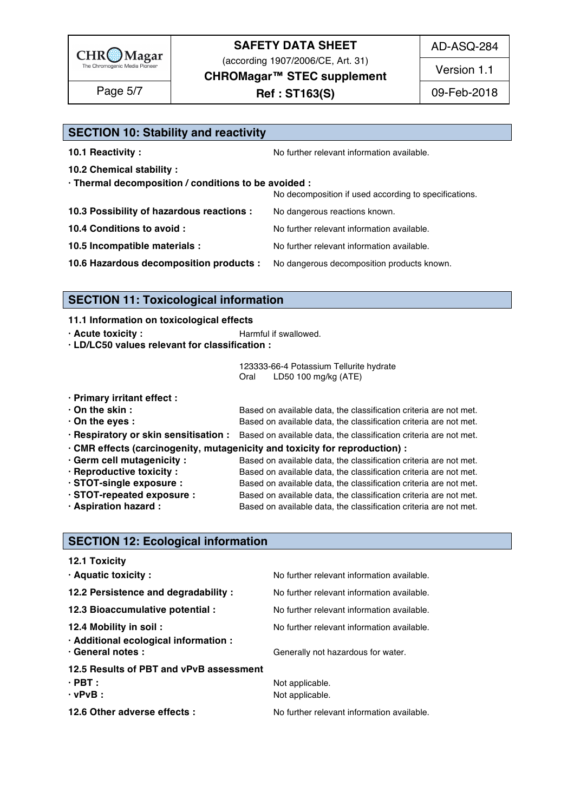

(according 1907/2006/CE, Art. 31)

AD-ASQ-284

Version 1.1

**CHROMagar™ STEC supplement**

**Ref : ST163(S)** Page 5/7 09-Feb-2018

| <b>SECTION 10: Stability and reactivity</b>          |                                                       |
|------------------------------------------------------|-------------------------------------------------------|
| 10.1 Reactivity:                                     | No further relevant information available.            |
| 10.2 Chemical stability :                            |                                                       |
| · Thermal decomposition / conditions to be avoided : | No decomposition if used according to specifications. |
| 10.3 Possibility of hazardous reactions :            | No dangerous reactions known.                         |
| 10.4 Conditions to avoid :                           | No further relevant information available.            |
| 10.5 Incompatible materials :                        | No further relevant information available.            |
| 10.6 Hazardous decomposition products :              | No dangerous decomposition products known.            |

### **SECTION 11: Toxicological information**

#### **11.1 Information on toxicological effects**

- **· Acute toxicity :** The Manual is extended in the Harmful if swallowed. 1872 **1872**
- **· LD/LC50 values relevant for classification :** 188

123333-66-4 Potassium Tellurite hydrate Oral LD50 100 mg/kg (ATE) 191

- **· Primary irritant effect :** 193
- **· On the skin :** *C***<sub>n</sub> in E Based on available data, the classification criteria are not met. • On the eyes : i b** Based on available data, the classification criteria are not met. **· Respiratory or skin sensitisation :** Based on available data, the classification criteria are not met. 196
- **· CMR effects (carcinogenity, mutagenicity and toxicity for reproduction) :** 197
- **· Germ cell mutagenicity :** Based on available data, the classification criteria are not met. **· Reproductive toxicity :** Based on available data, the classification criteria are not met. **· STOT-single exposure :** Based on available data, the classification criteria are not met. **· STOT-repeated exposure :** Based on available data, the classification criteria are not met. **· Aspiration hazard :** Based on available data, the classification criteria are not met.

#### **SECTION 12: Ecological information**

| <b>12.1 Toxicity</b>                                       |                                            |
|------------------------------------------------------------|--------------------------------------------|
| · Aquatic toxicity :                                       | No further relevant information available. |
| 12.2 Persistence and degradability :                       | No further relevant information available. |
| 12.3 Bioaccumulative potential :                           | No further relevant information available. |
| 12.4 Mobility in soil:                                     | No further relevant information available. |
| · Additional ecological information :<br>· General notes : | Generally not hazardous for water.         |
| 12.5 Results of PBT and vPvB assessment                    |                                            |
| $\cdot$ PBT :                                              | Not applicable.                            |
| $\cdot$ vPvB :                                             | Not applicable.                            |
| 12.6 Other adverse effects :                               | No further relevant information available. |
|                                                            |                                            |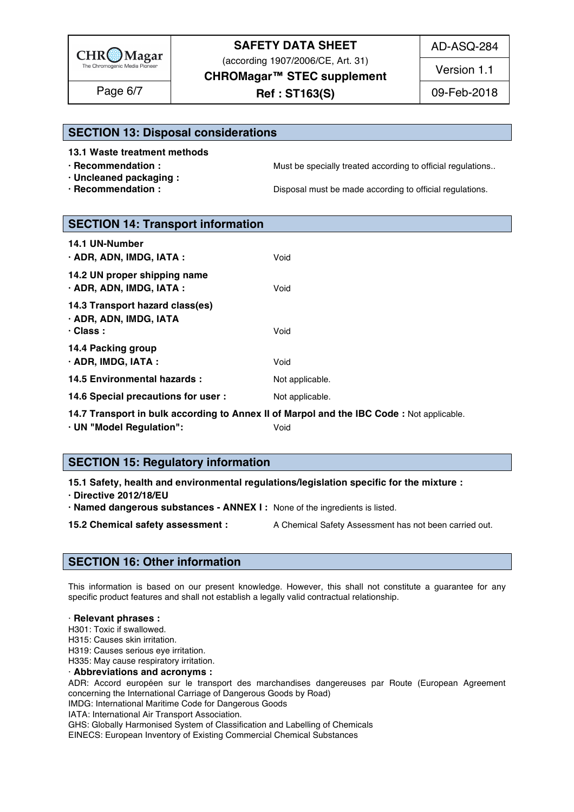

(according 1907/2006/CE, Art. 31)

AD-ASQ-284

Version 1.1

**CHROMagar™ STEC supplement**

**Ref : ST163(S)** Page 6/7 09-Feb-2018

### **SECTION 13: Disposal considerations**

**13.1 Waste treatment methods** 219

- 
- **· Uncleaned packaging :** 221
- 

**· Recommendation : Must be specially treated according to official regulations..** 

**· Recommendation : Disposal must be made according to official regulations.** 

| <b>SECTION 14: Transport information</b>                                     |                                                                                          |
|------------------------------------------------------------------------------|------------------------------------------------------------------------------------------|
| 14.1 UN-Number<br>· ADR, ADN, IMDG, IATA :                                   | Void                                                                                     |
| 14.2 UN proper shipping name<br>· ADR, ADN, IMDG, IATA:                      | Void                                                                                     |
| 14.3 Transport hazard class(es)<br>· ADR, ADN, IMDG, IATA<br>$\cdot$ Class : | Void                                                                                     |
| 14.4 Packing group<br>· ADR, IMDG, IATA:                                     | Void                                                                                     |
| 14.5 Environmental hazards :                                                 | Not applicable.                                                                          |
| 14.6 Special precautions for user :                                          | Not applicable.                                                                          |
|                                                                              | 14.7 Transport in bulk according to Annex II of Marpol and the IBC Code: Not applicable. |

**· UN "Model Regulation":** Void 238

### **SECTION 15: Regulatory information**

**15.1 Safety, health and environmental regulations/legislation specific for the mixture :** 242

**· Directive 2012/18/EU** 243

**· Named dangerous substances - ANNEX I :** None of the ingredients is listed. 244

**15.2 Chemical safety assessment :** A Chemical Safety Assessment has not been carried out.

### **SECTION 16: Other information** 248

This information is based on our present knowledge. However, this shall not constitute a guarantee for any specific product features and shall not establish a legally valid contractual relationship.

#### · **Relevant phrases :** 253

H301: Toxic if swallowed. 2544 Million Service States and Service States and Service States and Service States A

H315: Causes skin irritation. 255

H319: Causes serious eye irritation. 256

H335: May cause respiratory irritation. 257

· **Abbreviations and acronyms :** 258

ADR: Accord européen sur le transport des marchandises dangereuses par Route (European Agreement concerning the International Carriage of Dangerous Goods by Road)

IMDG: International Maritime Code for Dangerous Goods

IATA: International Air Transport Association. 262 GHS: Globally Harmonised System of Classification and Labelling of Chemicals

EINECS: European Inventory of Existing Commercial Chemical Substances 264